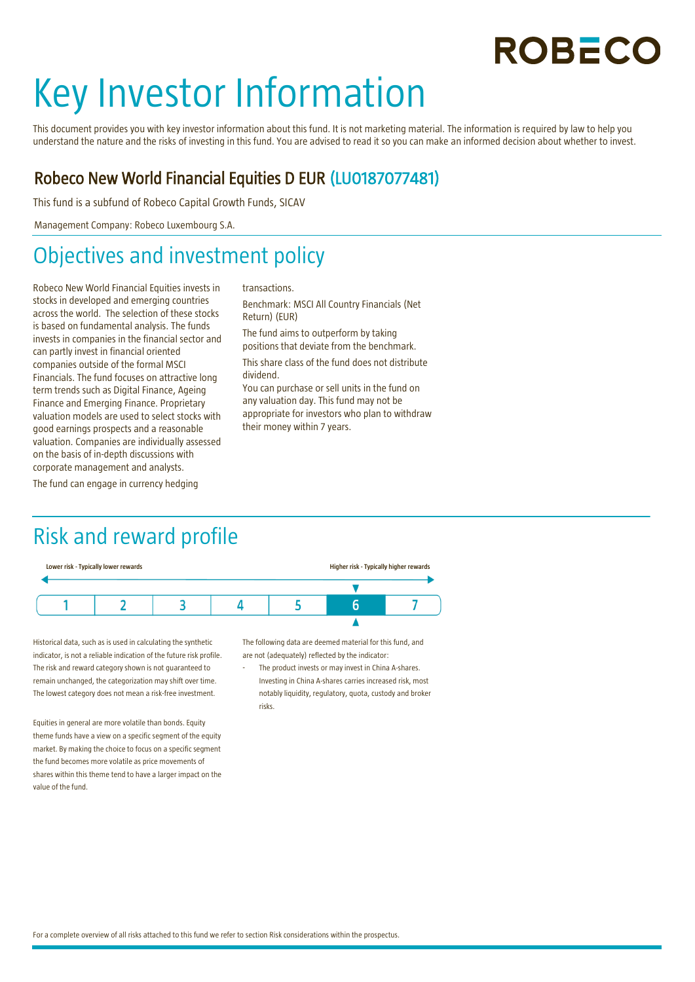## **ROBECO**

# Key Investor Information

This document provides you with key investor information about this fund. It is not marketing material. The information is required by law to help you understand the nature and the risks of investing in this fund. You are advised to read it so you can make an informed decision about whether to invest.

#### Robeco New World Financial Equities D EUR (LU0187077481)

This fund is a subfund of Robeco Capital Growth Funds, SICAV

Management Company: Robeco Luxembourg S.A.

## Objectives and investment policy

Robeco New World Financial Equities invests in stocks in developed and emerging countries across the world. The selection of these stocks is based on fundamental analysis. The funds invests in companies in the financial sector and can partly invest in financial oriented companies outside of the formal MSCI Financials. The fund focuses on attractive long term trends such as Digital Finance, Ageing Finance and Emerging Finance. Proprietary valuation models are used to select stocks with good earnings prospects and a reasonable valuation. Companies are individually assessed on the basis of in-depth discussions with corporate management and analysts.

The fund can engage in currency hedging

#### transactions.

Benchmark: MSCI All Country Financials (Net Return) (EUR) The fund aims to outperform by taking positions that deviate from the benchmark. This share class of the fund does not distribute dividend. You can purchase or sell units in the fund on

any valuation day. This fund may not be appropriate for investors who plan to withdraw their money within 7 years.

### Risk and reward profile



Historical data, such as is used in calculating the synthetic indicator, is not a reliable indication of the future risk profile. The risk and reward category shown is not guaranteed to remain unchanged, the categorization may shift over time. The lowest category does not mean a risk-free investment.

Equities in general are more volatile than bonds. Equity theme funds have a view on a specific segment of the equity market. By making the choice to focus on a specific segment the fund becomes more volatile as price movements of shares within this theme tend to have a larger impact on the value of the fund.

The following data are deemed material for this fund, and are not (adequately) reflected by the indicator:

The product invests or may invest in China A-shares. Investing in China A-shares carries increased risk, most notably liquidity, regulatory, quota, custody and broker risks.